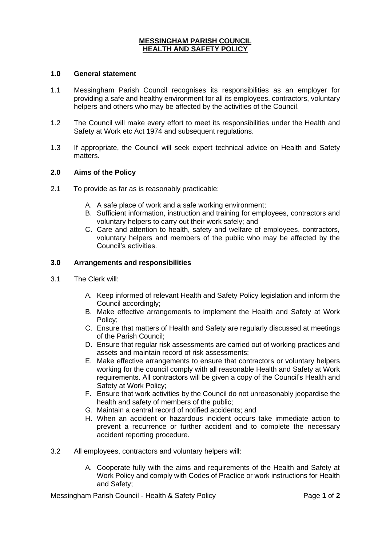# **MESSINGHAM PARISH COUNCIL HEALTH AND SAFETY POLICY**

### **1.0 General statement**

- 1.1 Messingham Parish Council recognises its responsibilities as an employer for providing a safe and healthy environment for all its employees, contractors, voluntary helpers and others who may be affected by the activities of the Council.
- 1.2 The Council will make every effort to meet its responsibilities under the Health and Safety at Work etc Act 1974 and subsequent regulations.
- 1.3 If appropriate, the Council will seek expert technical advice on Health and Safety matters.

### **2.0 Aims of the Policy**

- 2.1 To provide as far as is reasonably practicable:
	- A. A safe place of work and a safe working environment;
	- B. Sufficient information, instruction and training for employees, contractors and voluntary helpers to carry out their work safely; and
	- C. Care and attention to health, safety and welfare of employees, contractors, voluntary helpers and members of the public who may be affected by the Council's activities.

#### **3.0 Arrangements and responsibilities**

- 3.1 The Clerk will:
	- A. Keep informed of relevant Health and Safety Policy legislation and inform the Council accordingly;
	- B. Make effective arrangements to implement the Health and Safety at Work Policy;
	- C. Ensure that matters of Health and Safety are regularly discussed at meetings of the Parish Council;
	- D. Ensure that regular risk assessments are carried out of working practices and assets and maintain record of risk assessments;
	- E. Make effective arrangements to ensure that contractors or voluntary helpers working for the council comply with all reasonable Health and Safety at Work requirements. All contractors will be given a copy of the Council's Health and Safety at Work Policy;
	- F. Ensure that work activities by the Council do not unreasonably jeopardise the health and safety of members of the public;
	- G. Maintain a central record of notified accidents; and
	- H. When an accident or hazardous incident occurs take immediate action to prevent a recurrence or further accident and to complete the necessary accident reporting procedure.
- 3.2 All employees, contractors and voluntary helpers will:
	- A. Cooperate fully with the aims and requirements of the Health and Safety at Work Policy and comply with Codes of Practice or work instructions for Health and Safety;

Messingham Parish Council - Health & Safety Policy Page **1** of **2**